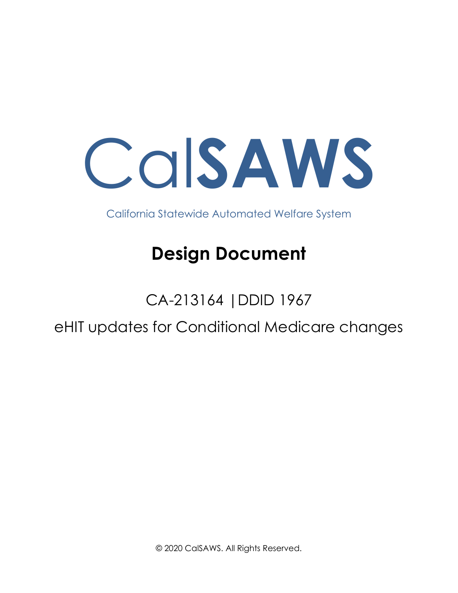Cal**SAWS**

California Statewide Automated Welfare System

# **Design Document**

## CA-213164 |DDID 1967

eHIT updates for Conditional Medicare changes

© 2020 CalSAWS. All Rights Reserved.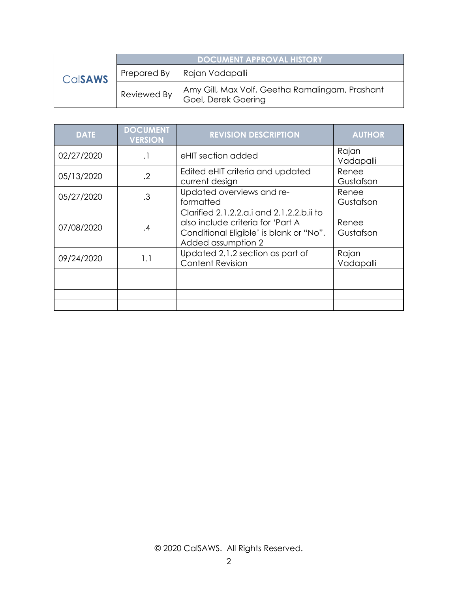|                | DOCUMENT APPROVAL HISTORY |                                                                        |
|----------------|---------------------------|------------------------------------------------------------------------|
| <b>CalSAWS</b> | Prepared By               | Rajan Vadapalli                                                        |
|                | Reviewed By               | Amy Gill, Max Volf, Geetha Ramalingam, Prashant<br>Goel, Derek Goering |

| <b>DATE</b> | <b>DOCUMENT</b><br><b>VERSION</b> | <b>REVISION DESCRIPTION</b>                                                                                                                     | <b>AUTHOR</b>      |
|-------------|-----------------------------------|-------------------------------------------------------------------------------------------------------------------------------------------------|--------------------|
| 02/27/2020  | $\cdot$                           | eHIT section added                                                                                                                              | Rajan<br>Vadapalli |
| 05/13/2020  | $\cdot$                           | Edited eHIT criteria and updated<br>current design                                                                                              | Renee<br>Gustafson |
| 05/27/2020  | .3                                | Updated overviews and re-<br>formatted                                                                                                          | Renee<br>Gustafson |
| 07/08/2020  | .4                                | Clarified 2.1.2.2.a.i and 2.1.2.2.b.ii to<br>also include criteria for 'Part A<br>Conditional Eligible' is blank or "No".<br>Added assumption 2 | Renee<br>Gustafson |
| 09/24/2020  | 1.1                               | Updated 2.1.2 section as part of<br><b>Content Revision</b>                                                                                     | Rajan<br>Vadapalli |
|             |                                   |                                                                                                                                                 |                    |
|             |                                   |                                                                                                                                                 |                    |
|             |                                   |                                                                                                                                                 |                    |
|             |                                   |                                                                                                                                                 |                    |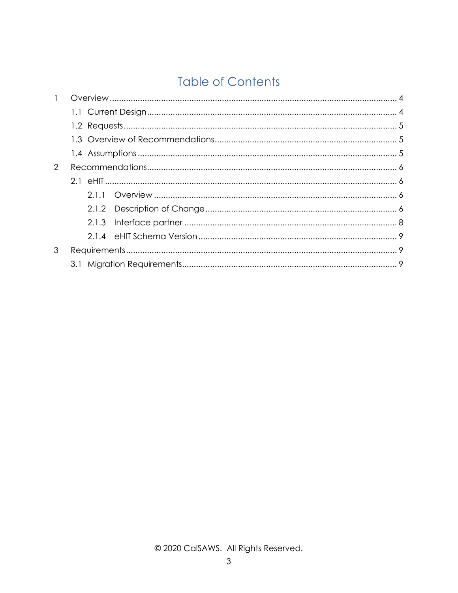### **Table of Contents**

| $\overline{2}$ |  |       |  |  |
|----------------|--|-------|--|--|
|                |  |       |  |  |
|                |  |       |  |  |
|                |  | 2.1.2 |  |  |
|                |  | 2.1.3 |  |  |
|                |  |       |  |  |
| 3              |  |       |  |  |
|                |  |       |  |  |
|                |  |       |  |  |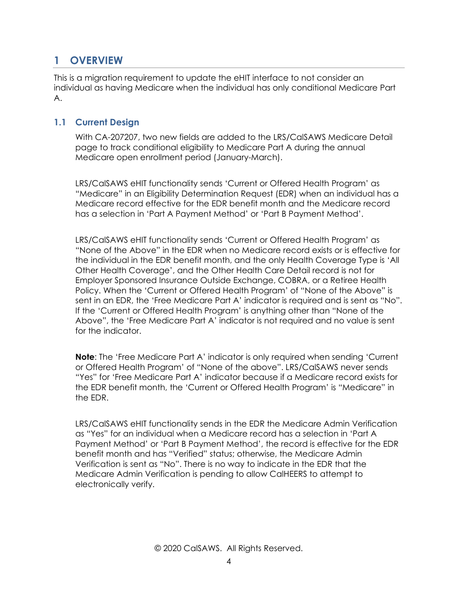#### <span id="page-3-0"></span>**1 OVERVIEW**

This is a migration requirement to update the eHIT interface to not consider an individual as having Medicare when the individual has only conditional Medicare Part A.

#### <span id="page-3-1"></span>**1.1 Current Design**

With CA-207207, two new fields are added to the LRS/CalSAWS Medicare Detail page to track conditional eligibility to Medicare Part A during the annual Medicare open enrollment period (January-March).

LRS/CalSAWS eHIT functionality sends 'Current or Offered Health Program' as "Medicare" in an Eligibility Determination Request (EDR) when an individual has a Medicare record effective for the EDR benefit month and the Medicare record has a selection in 'Part A Payment Method' or 'Part B Payment Method'.

LRS/CalSAWS eHIT functionality sends 'Current or Offered Health Program' as "None of the Above" in the EDR when no Medicare record exists or is effective for the individual in the EDR benefit month, and the only Health Coverage Type is 'All Other Health Coverage', and the Other Health Care Detail record is not for Employer Sponsored Insurance Outside Exchange, COBRA, or a Retiree Health Policy. When the 'Current or Offered Health Program' of "None of the Above" is sent in an EDR, the 'Free Medicare Part A' indicator is required and is sent as "No". If the 'Current or Offered Health Program' is anything other than "None of the Above", the 'Free Medicare Part A' indicator is not required and no value is sent for the indicator.

**Note**: The 'Free Medicare Part A' indicator is only required when sending 'Current or Offered Health Program' of "None of the above". LRS/CalSAWS never sends "Yes" for 'Free Medicare Part A' indicator because if a Medicare record exists for the EDR benefit month, the 'Current or Offered Health Program' is "Medicare" in the EDR.

LRS/CalSAWS eHIT functionality sends in the EDR the Medicare Admin Verification as "Yes" for an individual when a Medicare record has a selection in 'Part A Payment Method' or 'Part B Payment Method', the record is effective for the EDR benefit month and has "Verified" status; otherwise, the Medicare Admin Verification is sent as "No". There is no way to indicate in the EDR that the Medicare Admin Verification is pending to allow CalHEERS to attempt to electronically verify.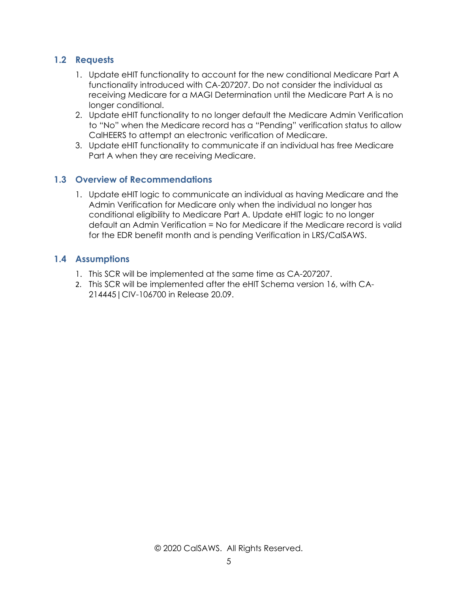#### <span id="page-4-0"></span>**1.2 Requests**

- 1. Update eHIT functionality to account for the new conditional Medicare Part A functionality introduced with CA-207207. Do not consider the individual as receiving Medicare for a MAGI Determination until the Medicare Part A is no longer conditional.
- 2. Update eHIT functionality to no longer default the Medicare Admin Verification to "No" when the Medicare record has a "Pending" verification status to allow CalHEERS to attempt an electronic verification of Medicare.
- 3. Update eHIT functionality to communicate if an individual has free Medicare Part A when they are receiving Medicare.

#### <span id="page-4-1"></span>**1.3 Overview of Recommendations**

1. Update eHIT logic to communicate an individual as having Medicare and the Admin Verification for Medicare only when the individual no longer has conditional eligibility to Medicare Part A. Update eHIT logic to no longer default an Admin Verification = No for Medicare if the Medicare record is valid for the EDR benefit month and is pending Verification in LRS/CalSAWS.

#### <span id="page-4-2"></span>**1.4 Assumptions**

- 1. This SCR will be implemented at the same time as CA-207207.
- 2. This SCR will be implemented after the eHIT Schema version 16, with CA-214445|CIV-106700 in Release 20.09.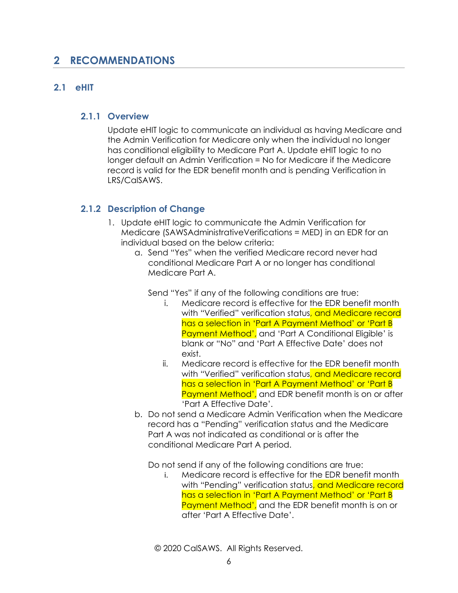#### <span id="page-5-0"></span>**2 RECOMMENDATIONS**

#### <span id="page-5-2"></span><span id="page-5-1"></span>**2.1 eHIT**

#### **2.1.1 Overview**

Update eHIT logic to communicate an individual as having Medicare and the Admin Verification for Medicare only when the individual no longer has conditional eligibility to Medicare Part A. Update eHIT logic to no longer default an Admin Verification = No for Medicare if the Medicare record is valid for the EDR benefit month and is pending Verification in LRS/CalSAWS.

#### <span id="page-5-3"></span>**2.1.2 Description of Change**

- 1. Update eHIT logic to communicate the Admin Verification for Medicare (SAWSAdministrativeVerifications = MED) in an EDR for an individual based on the below criteria:
	- a. Send "Yes" when the verified Medicare record never had conditional Medicare Part A or no longer has conditional Medicare Part A.

Send "Yes" if any of the following conditions are true:

- i. Medicare record is effective for the EDR benefit month with "Verified" verification status<mark>, and Medicare record</mark> has a selection in 'Part A Payment Method' or 'Part B Payment Method', and 'Part A Conditional Eligible' is blank or "No" and 'Part A Effective Date' does not exist.
- ii. Medicare record is effective for the EDR benefit month with "Verified" verification status<mark>, and Medicare record</mark> has a selection in 'Part A Payment Method' or 'Part B Payment Method', and EDR benefit month is on or after 'Part A Effective Date'.
- b. Do not send a Medicare Admin Verification when the Medicare record has a "Pending" verification status and the Medicare Part A was not indicated as conditional or is after the conditional Medicare Part A period.

Do not send if any of the following conditions are true:

i. Medicare record is effective for the EDR benefit month with "Pending" verification status, and Medicare record has a selection in 'Part A Payment Method' or 'Part B Payment Method', and the EDR benefit month is on or after 'Part A Effective Date'.

© 2020 CalSAWS. All Rights Reserved.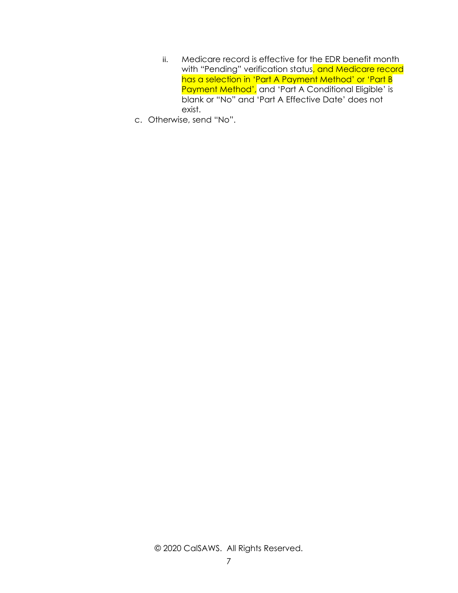- ii. Medicare record is effective for the EDR benefit month with "Pending" verification status, and Medicare record has a selection in 'Part A Payment Method' or 'Part B Payment Method', and 'Part A Conditional Eligible' is blank or "No" and 'Part A Effective Date' does not exist.
- c. Otherwise, send "No".

#### © 2020 CalSAWS. All Rights Reserved.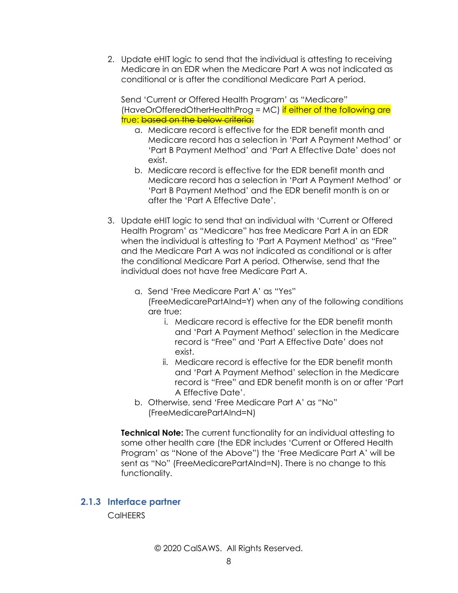2. Update eHIT logic to send that the individual is attesting to receiving Medicare in an EDR when the Medicare Part A was not indicated as conditional or is after the conditional Medicare Part A period.

Send 'Current or Offered Health Program' as "Medicare" (HaveOrOfferedOtherHealthProg = MC) if either of the following are true: based on the below criteria:

- a. Medicare record is effective for the EDR benefit month and Medicare record has a selection in 'Part A Payment Method' or 'Part B Payment Method' and 'Part A Effective Date' does not exist.
- b. Medicare record is effective for the EDR benefit month and Medicare record has a selection in 'Part A Payment Method' or 'Part B Payment Method' and the EDR benefit month is on or after the 'Part A Effective Date'.
- 3. Update eHIT logic to send that an individual with 'Current or Offered Health Program' as "Medicare" has free Medicare Part A in an EDR when the individual is attesting to 'Part A Payment Method' as "Free" and the Medicare Part A was not indicated as conditional or is after the conditional Medicare Part A period. Otherwise, send that the individual does not have free Medicare Part A.
	- a. Send 'Free Medicare Part A' as "Yes" (FreeMedicarePartAInd=Y) when any of the following conditions are true:
		- i. Medicare record is effective for the EDR benefit month and 'Part A Payment Method' selection in the Medicare record is "Free" and 'Part A Effective Date' does not exist.
		- ii. Medicare record is effective for the EDR benefit month and 'Part A Payment Method' selection in the Medicare record is "Free" and EDR benefit month is on or after 'Part A Effective Date'.
	- b. Otherwise, send 'Free Medicare Part A' as "No" (FreeMedicarePartAInd=N)

**Technical Note:** The current functionality for an individual attesting to some other health care (the EDR includes 'Current or Offered Health Program' as "None of the Above") the 'Free Medicare Part A' will be sent as "No" (FreeMedicarePartAInd=N). There is no change to this functionality.

#### <span id="page-7-0"></span>**2.1.3 Interface partner**

**CalHEERS**